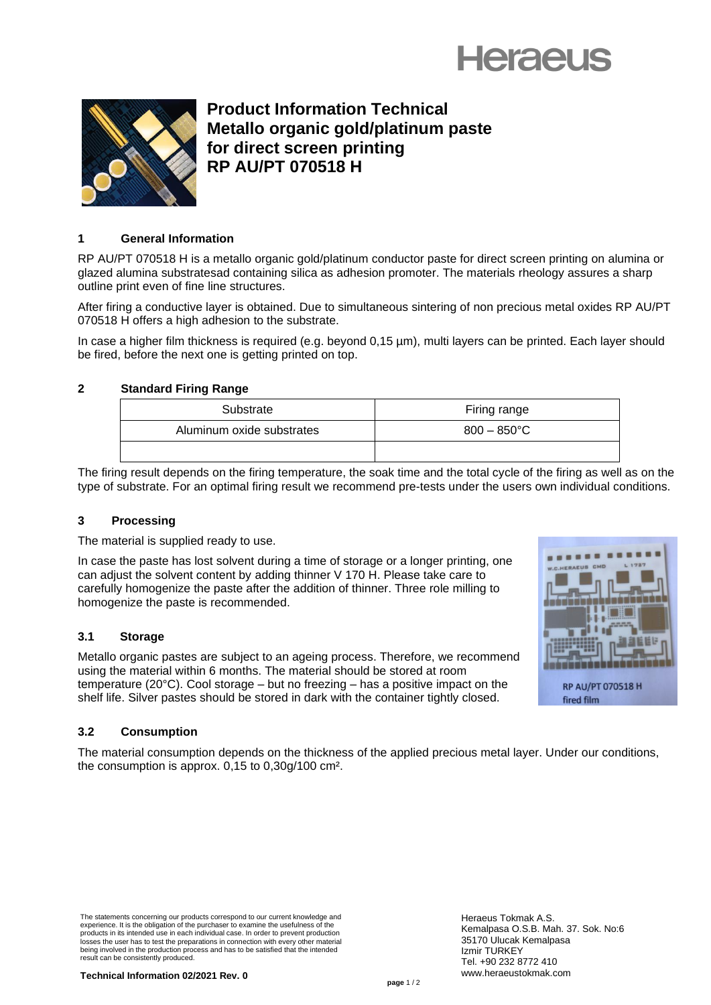



**Product Information Technical Metallo organic gold/platinum paste for direct screen printing RP AU/PT 070518 H** 

# **1 General Information**

RP AU/PT 070518 H is a metallo organic gold/platinum conductor paste for direct screen printing on alumina or glazed alumina substratesad containing silica as adhesion promoter. The materials rheology assures a sharp outline print even of fine line structures.

After firing a conductive layer is obtained. Due to simultaneous sintering of non precious metal oxides RP AU/PT 070518 H offers a high adhesion to the substrate.

In case a higher film thickness is required (e.g. beyond 0,15 µm), multi layers can be printed. Each layer should be fired, before the next one is getting printed on top.

# **2 Standard Firing Range**

| Substrate                 | Firing range   |
|---------------------------|----------------|
| Aluminum oxide substrates | $800 - 850$ °C |
|                           |                |

The firing result depends on the firing temperature, the soak time and the total cycle of the firing as well as on the type of substrate. For an optimal firing result we recommend pre-tests under the users own individual conditions.

# **3 Processing**

The material is supplied ready to use.

In case the paste has lost solvent during a time of storage or a longer printing, one can adjust the solvent content by adding thinner V 170 H. Please take care to carefully homogenize the paste after the addition of thinner. Three role milling to homogenize the paste is recommended.

# **3.1 Storage**

Metallo organic pastes are subject to an ageing process. Therefore, we recommend using the material within 6 months. The material should be stored at room temperature (20°C). Cool storage – but no freezing – has a positive impact on the shelf life. Silver pastes should be stored in dark with the container tightly closed.

# **RP AU/PT 070518 H** fired film

# **3.2 Consumption**

The material consumption depends on the thickness of the applied precious metal layer. Under our conditions, the consumption is approx. 0,15 to 0,30g/100 cm².

The statements concerning our products correspond to our current knowledge and experience. It is the obligation of the purchaser to examine the usefulness of the products in its intended use in each individual case. In order to prevent production losses the user has to test the preparations in connection with every other material being involved in the production process and has to be satisfied that the intended result can be consistently produced.